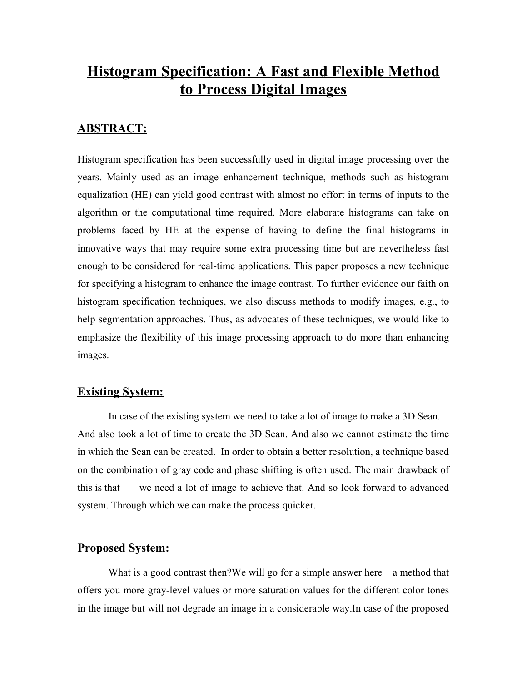# **Histogram Specification: A Fast and Flexible Method to Process Digital Images**

### **ABSTRACT:**

Histogram specification has been successfully used in digital image processing over the years. Mainly used as an image enhancement technique, methods such as histogram equalization (HE) can yield good contrast with almost no effort in terms of inputs to the algorithm or the computational time required. More elaborate histograms can take on problems faced by HE at the expense of having to define the final histograms in innovative ways that may require some extra processing time but are nevertheless fast enough to be considered for real-time applications. This paper proposes a new technique for specifying a histogram to enhance the image contrast. To further evidence our faith on histogram specification techniques, we also discuss methods to modify images, e.g., to help segmentation approaches. Thus, as advocates of these techniques, we would like to emphasize the flexibility of this image processing approach to do more than enhancing images.

#### **Existing System:**

In case of the existing system we need to take a lot of image to make a 3D Sean. And also took a lot of time to create the 3D Sean. And also we cannot estimate the time in which the Sean can be created. In order to obtain a better resolution, a technique based on the combination of gray code and phase shifting is often used. The main drawback of this is that we need a lot of image to achieve that. And so look forward to advanced system. Through which we can make the process quicker.

#### **Proposed System:**

What is a good contrast then? We will go for a simple answer here—a method that offers you more gray-level values or more saturation values for the different color tones in the image but will not degrade an image in a considerable way.In case of the proposed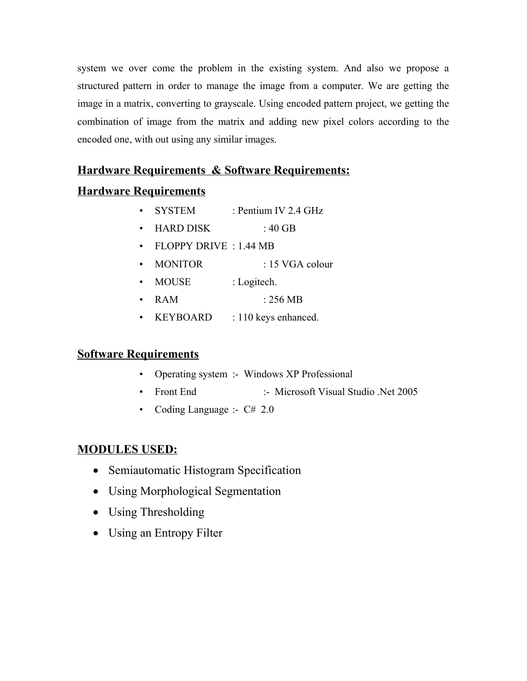system we over come the problem in the existing system. And also we propose a structured pattern in order to manage the image from a computer. We are getting the image in a matrix, converting to grayscale. Using encoded pattern project, we getting the combination of image from the matrix and adding new pixel colors according to the encoded one, with out using any similar images.

## **Hardware Requirements & Software Requirements:**

# **Hardware Requirements**

- SYSTEM : Pentium IV 2.4 GHz
- " HARD DISK : 40 GB
- FLOPPY DRIVE : 1.44 MB
- MONITOR : 15 VGA colour
- MOUSE : Logitech.
- $RAM \t256 MB$
- KEYBOARD : 110 keys enhanced.

## **Software Requirements**

- Operating system :- Windows XP Professional
- Front End :- Microsoft Visual Studio .Net 2005
- Coding Language :-  $C# 2.0$

## **MODULES USED:**

- Semiautomatic Histogram Specification
- · Using Morphological Segmentation
- Using Thresholding
- Using an Entropy Filter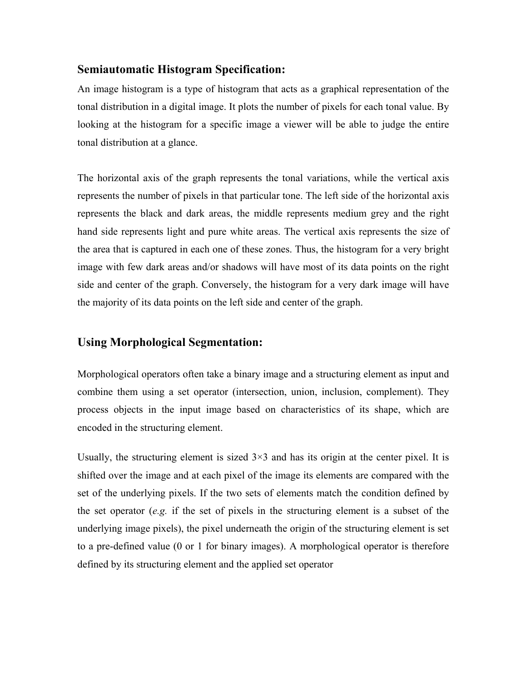### **Semiautomatic Histogram Specification:**

An image histogram is a type of histogram that acts as a graphical representation of the tonal distribution in a digital image. It plots the number of pixels for each tonal value. By looking at the histogram for a specific image a viewer will be able to judge the entire tonal distribution at a glance.

The horizontal axis of the graph represents the tonal variations, while the vertical axis represents the number of pixels in that particular tone. The left side of the horizontal axis represents the black and dark areas, the middle represents medium grey and the right hand side represents light and pure white areas. The vertical axis represents the size of the area that is captured in each one of these zones. Thus, the histogram for a very bright image with few dark areas and/or shadows will have most of its data points on the right side and center of the graph. Conversely, the histogram for a very dark image will have the majority of its data points on the left side and center of the graph.

### **Using Morphological Segmentation:**

Morphological operators often take a binary image and a structuring element as input and combine them using a set operator (intersection, union, inclusion, complement). They process objects in the input image based on characteristics of its shape, which are encoded in the structuring element.

Usually, the structuring element is sized  $3\times3$  and has its origin at the center pixel. It is shifted over the image and at each pixel of the image its elements are compared with the set of the underlying pixels. If the two sets of elements match the condition defined by the set operator (*e.g.* if the set of pixels in the structuring element is a subset of the underlying image pixels), the pixel underneath the origin of the structuring element is set to a pre-defined value (0 or 1 for binary images). A morphological operator is therefore defined by its structuring element and the applied set operator